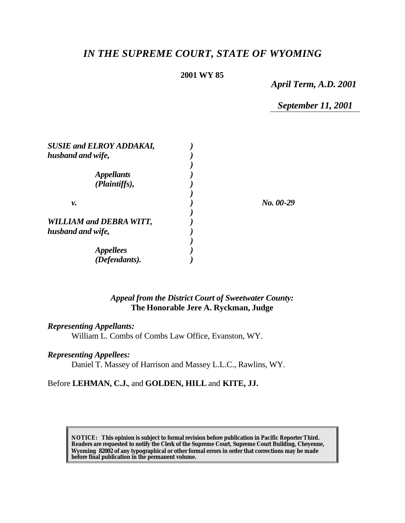# *IN THE SUPREME COURT, STATE OF WYOMING*

# **2001 WY 85**

*April Term, A.D. 2001*

*September 11, 2001*

| <b>SUSIE and ELROY ADDAKAI,</b> |           |
|---------------------------------|-----------|
| husband and wife,               |           |
|                                 |           |
| <i><b>Appellants</b></i>        |           |
| (Plaintiffs),                   |           |
|                                 |           |
| ν.                              | No. 00-29 |
|                                 |           |
| <b>WILLIAM and DEBRA WITT,</b>  |           |
| husband and wife,               |           |
|                                 |           |
| <i>Appellees</i>                |           |
| (Defendants).                   |           |

# *Appeal from the District Court of Sweetwater County:* **The Honorable Jere A. Ryckman, Judge**

### *Representing Appellants:*

William L. Combs of Combs Law Office, Evanston, WY.

#### *Representing Appellees:*

Daniel T. Massey of Harrison and Massey L.L.C., Rawlins, WY.

#### Before **LEHMAN, C.J.**, and **GOLDEN, HILL** and **KITE, JJ.**

**NOTICE:** *This opinion is subject to formal revision before publication in Pacific Reporter Third. Readers are requested to notify the Clerk of the Supreme Court, Supreme Court Building, Cheyenne, Wyoming 82002 of any typographical or other formal errors in order that corrections may be made before final publication in the permanent volume.*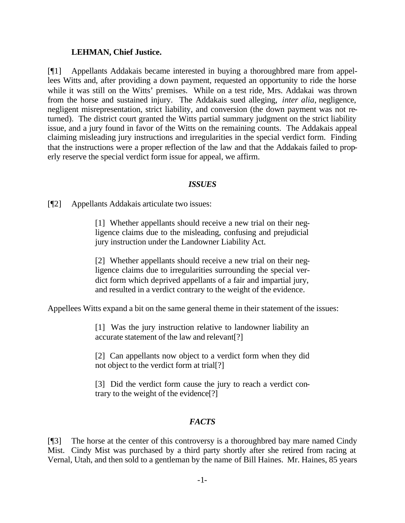#### **LEHMAN, Chief Justice.**

[¶1] Appellants Addakais became interested in buying a thoroughbred mare from appellees Witts and, after providing a down payment, requested an opportunity to ride the horse while it was still on the Witts' premises. While on a test ride, Mrs. Addakai was thrown from the horse and sustained injury. The Addakais sued alleging, *inter alia*, negligence, negligent misrepresentation, strict liability, and conversion (the down payment was not returned). The district court granted the Witts partial summary judgment on the strict liability issue, and a jury found in favor of the Witts on the remaining counts. The Addakais appeal claiming misleading jury instructions and irregularities in the special verdict form. Finding that the instructions were a proper reflection of the law and that the Addakais failed to properly reserve the special verdict form issue for appeal, we affirm.

#### *ISSUES*

[¶2] Appellants Addakais articulate two issues:

[1] Whether appellants should receive a new trial on their negligence claims due to the misleading, confusing and prejudicial jury instruction under the Landowner Liability Act.

[2] Whether appellants should receive a new trial on their negligence claims due to irregularities surrounding the special verdict form which deprived appellants of a fair and impartial jury, and resulted in a verdict contrary to the weight of the evidence.

Appellees Witts expand a bit on the same general theme in their statement of the issues:

[1] Was the jury instruction relative to landowner liability an accurate statement of the law and relevant[?]

[2] Can appellants now object to a verdict form when they did not object to the verdict form at trial[?]

[3] Did the verdict form cause the jury to reach a verdict contrary to the weight of the evidence[?]

# *FACTS*

[¶3] The horse at the center of this controversy is a thoroughbred bay mare named Cindy Mist. Cindy Mist was purchased by a third party shortly after she retired from racing at Vernal, Utah, and then sold to a gentleman by the name of Bill Haines. Mr. Haines, 85 years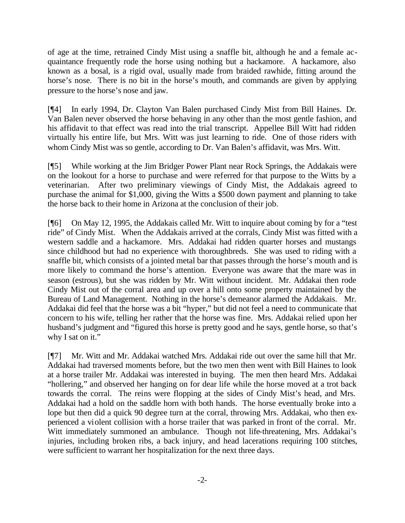of age at the time, retrained Cindy Mist using a snaffle bit, although he and a female acquaintance frequently rode the horse using nothing but a hackamore. A hackamore, also known as a bosal, is a rigid oval, usually made from braided rawhide, fitting around the horse's nose. There is no bit in the horse's mouth, and commands are given by applying pressure to the horse's nose and jaw.

[¶4] In early 1994, Dr. Clayton Van Balen purchased Cindy Mist from Bill Haines. Dr. Van Balen never observed the horse behaving in any other than the most gentle fashion, and his affidavit to that effect was read into the trial transcript. Appellee Bill Witt had ridden virtually his entire life, but Mrs. Witt was just learning to ride. One of those riders with whom Cindy Mist was so gentle, according to Dr. Van Balen's affidavit, was Mrs. Witt.

[¶5] While working at the Jim Bridger Power Plant near Rock Springs, the Addakais were on the lookout for a horse to purchase and were referred for that purpose to the Witts by a veterinarian. After two preliminary viewings of Cindy Mist, the Addakais agreed to purchase the animal for \$1,000, giving the Witts a \$500 down payment and planning to take the horse back to their home in Arizona at the conclusion of their job.

[¶6] On May 12, 1995, the Addakais called Mr. Witt to inquire about coming by for a "test ride" of Cindy Mist. When the Addakais arrived at the corrals, Cindy Mist was fitted with a western saddle and a hackamore. Mrs. Addakai had ridden quarter horses and mustangs since childhood but had no experience with thoroughbreds. She was used to riding with a snaffle bit, which consists of a jointed metal bar that passes through the horse's mouth and is more likely to command the horse's attention. Everyone was aware that the mare was in season (estrous), but she was ridden by Mr. Witt without incident. Mr. Addakai then rode Cindy Mist out of the corral area and up over a hill onto some property maintained by the Bureau of Land Management. Nothing in the horse's demeanor alarmed the Addakais. Mr. Addakai did feel that the horse was a bit "hyper," but did not feel a need to communicate that concern to his wife, telling her rather that the horse was fine. Mrs. Addakai relied upon her husband's judgment and "figured this horse is pretty good and he says, gentle horse, so that's why I sat on it."

[¶7] Mr. Witt and Mr. Addakai watched Mrs. Addakai ride out over the same hill that Mr. Addakai had traversed moments before, but the two men then went with Bill Haines to look at a horse trailer Mr. Addakai was interested in buying. The men then heard Mrs. Addakai "hollering," and observed her hanging on for dear life while the horse moved at a trot back towards the corral. The reins were flopping at the sides of Cindy Mist's head, and Mrs. Addakai had a hold on the saddle horn with both hands. The horse eventually broke into a lope but then did a quick 90 degree turn at the corral, throwing Mrs. Addakai, who then experienced a violent collision with a horse trailer that was parked in front of the corral. Mr. Witt immediately summoned an ambulance. Though not life-threatening, Mrs. Addakai's injuries, including broken ribs, a back injury, and head lacerations requiring 100 stitches, were sufficient to warrant her hospitalization for the next three days.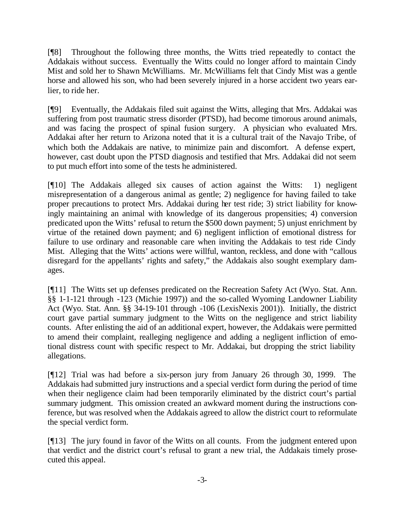[¶8] Throughout the following three months, the Witts tried repeatedly to contact the Addakais without success. Eventually the Witts could no longer afford to maintain Cindy Mist and sold her to Shawn McWilliams. Mr. McWilliams felt that Cindy Mist was a gentle horse and allowed his son, who had been severely injured in a horse accident two years earlier, to ride her.

[¶9] Eventually, the Addakais filed suit against the Witts, alleging that Mrs. Addakai was suffering from post traumatic stress disorder (PTSD), had become timorous around animals, and was facing the prospect of spinal fusion surgery. A physician who evaluated Mrs. Addakai after her return to Arizona noted that it is a cultural trait of the Navajo Tribe, of which both the Addakais are native, to minimize pain and discomfort. A defense expert, however, cast doubt upon the PTSD diagnosis and testified that Mrs. Addakai did not seem to put much effort into some of the tests he administered.

[¶10] The Addakais alleged six causes of action against the Witts: 1) negligent misrepresentation of a dangerous animal as gentle; 2) negligence for having failed to take proper precautions to protect Mrs. Addakai during her test ride; 3) strict liability for knowingly maintaining an animal with knowledge of its dangerous propensities; 4) conversion predicated upon the Witts' refusal to return the \$500 down payment; 5) unjust enrichment by virtue of the retained down payment; and 6) negligent infliction of emotional distress for failure to use ordinary and reasonable care when inviting the Addakais to test ride Cindy Mist. Alleging that the Witts' actions were willful, wanton, reckless, and done with "callous disregard for the appellants' rights and safety," the Addakais also sought exemplary damages.

[¶11] The Witts set up defenses predicated on the Recreation Safety Act (Wyo. Stat. Ann. §§ 1-1-121 through -123 (Michie 1997)) and the so-called Wyoming Landowner Liability Act (Wyo. Stat. Ann. §§ 34-19-101 through -106 (LexisNexis 2001)). Initially, the district court gave partial summary judgment to the Witts on the negligence and strict liability counts. After enlisting the aid of an additional expert, however, the Addakais were permitted to amend their complaint, realleging negligence and adding a negligent infliction of emotional distress count with specific respect to Mr. Addakai, but dropping the strict liability allegations.

[¶12] Trial was had before a six-person jury from January 26 through 30, 1999. The Addakais had submitted jury instructions and a special verdict form during the period of time when their negligence claim had been temporarily eliminated by the district court's partial summary judgment. This omission created an awkward moment during the instructions conference, but was resolved when the Addakais agreed to allow the district court to reformulate the special verdict form.

[¶13] The jury found in favor of the Witts on all counts. From the judgment entered upon that verdict and the district court's refusal to grant a new trial, the Addakais timely prosecuted this appeal.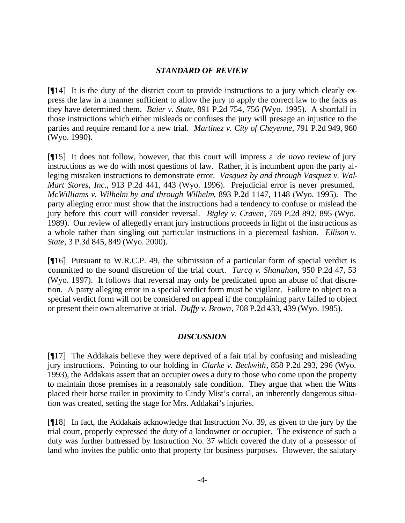# *STANDARD OF REVIEW*

[¶14] It is the duty of the district court to provide instructions to a jury which clearly express the law in a manner sufficient to allow the jury to apply the correct law to the facts as they have determined them. *Baier v. State*, 891 P.2d 754, 756 (Wyo. 1995). A shortfall in those instructions which either misleads or confuses the jury will presage an injustice to the parties and require remand for a new trial. *Martinez v. City of Cheyenne*, 791 P.2d 949, 960 (Wyo. 1990).

[¶15] It does not follow, however, that this court will impress a *de novo* review of jury instructions as we do with most questions of law. Rather, it is incumbent upon the party alleging mistaken instructions to demonstrate error. *Vasquez by and through Vasquez v. Wal-Mart Stores, Inc.*, 913 P.2d 441, 443 (Wyo. 1996). Prejudicial error is never presumed. *McWilliams v. Wilhelm by and through Wilhelm*, 893 P.2d 1147, 1148 (Wyo. 1995). The party alleging error must show that the instructions had a tendency to confuse or mislead the jury before this court will consider reversal. *Bigley v. Craven*, 769 P.2d 892, 895 (Wyo. 1989). Our review of allegedly errant jury instructions proceeds in light of the instructions as a whole rather than singling out particular instructions in a piecemeal fashion. *Ellison v. State*, 3 P.3d 845, 849 (Wyo. 2000).

[¶16] Pursuant to W.R.C.P. 49, the submission of a particular form of special verdict is committed to the sound discretion of the trial court. *Turcq v. Shanahan*, 950 P.2d 47, 53 (Wyo. 1997). It follows that reversal may only be predicated upon an abuse of that discretion. A party alleging error in a special verdict form must be vigilant. Failure to object to a special verdict form will not be considered on appeal if the complaining party failed to object or present their own alternative at trial. *Duffy v. Brown*, 708 P.2d 433, 439 (Wyo. 1985).

# *DISCUSSION*

[¶17] The Addakais believe they were deprived of a fair trial by confusing and misleading jury instructions. Pointing to our holding in *Clarke v. Beckwith*, 858 P.2d 293, 296 (Wyo. 1993), the Addakais assert that an occupier owes a duty to those who come upon the property to maintain those premises in a reasonably safe condition. They argue that when the Witts placed their horse trailer in proximity to Cindy Mist's corral, an inherently dangerous situation was created, setting the stage for Mrs. Addakai's injuries.

[¶18] In fact, the Addakais acknowledge that Instruction No. 39, as given to the jury by the trial court, properly expressed the duty of a landowner or occupier. The existence of such a duty was further buttressed by Instruction No. 37 which covered the duty of a possessor of land who invites the public onto that property for business purposes. However, the salutary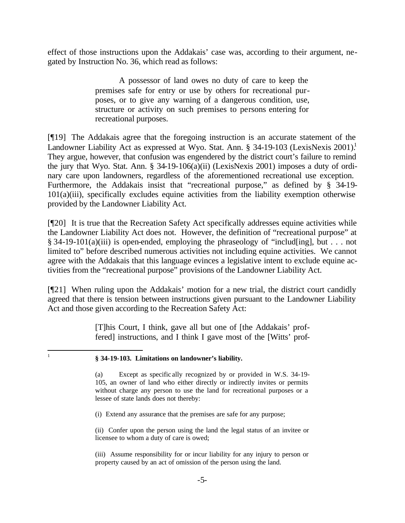effect of those instructions upon the Addakais' case was, according to their argument, negated by Instruction No. 36, which read as follows:

> A possessor of land owes no duty of care to keep the premises safe for entry or use by others for recreational purposes, or to give any warning of a dangerous condition, use, structure or activity on such premises to persons entering for recreational purposes.

[¶19] The Addakais agree that the foregoing instruction is an accurate statement of the Landowner Liability Act as expressed at Wyo. Stat. Ann. § 34-19-103 (LexisNexis 2001).<sup>1</sup> They argue, however, that confusion was engendered by the district court's failure to remind the jury that Wyo. Stat. Ann. § 34-19-106(a)(ii) (LexisNexis 2001) imposes a duty of ordinary care upon landowners, regardless of the aforementioned recreational use exception. Furthermore, the Addakais insist that "recreational purpose," as defined by § 34-19-101(a)(iii), specifically excludes equine activities from the liability exemption otherwise provided by the Landowner Liability Act.

[¶20] It is true that the Recreation Safety Act specifically addresses equine activities while the Landowner Liability Act does not. However, the definition of "recreational purpose" at § 34-19-101(a)(iii) is open-ended, employing the phraseology of "includ[ing], but . . . not limited to" before described numerous activities not including equine activities. We cannot agree with the Addakais that this language evinces a legislative intent to exclude equine activities from the "recreational purpose" provisions of the Landowner Liability Act.

[¶21] When ruling upon the Addakais' motion for a new trial, the district court candidly agreed that there is tension between instructions given pursuant to the Landowner Liability Act and those given according to the Recreation Safety Act:

> [T]his Court, I think, gave all but one of [the Addakais' proffered] instructions, and I think I gave most of the [Witts' prof-

 $\frac{1}{1}$ 

(i) Extend any assurance that the premises are safe for any purpose;

(ii) Confer upon the person using the land the legal status of an invitee or licensee to whom a duty of care is owed;

(iii) Assume responsibility for or incur liability for any injury to person or property caused by an act of omission of the person using the land.

**<sup>§ 34-19-103.</sup> Limitations on landowner's liability.**

<sup>(</sup>a) Except as specific ally recognized by or provided in W.S. 34-19- 105, an owner of land who either directly or indirectly invites or permits without charge any person to use the land for recreational purposes or a lessee of state lands does not thereby: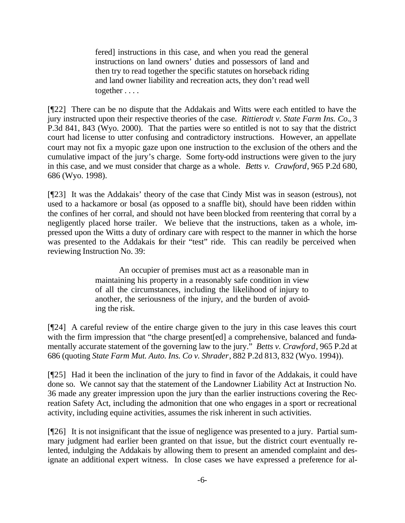fered] instructions in this case, and when you read the general instructions on land owners' duties and possessors of land and then try to read together the specific statutes on horseback riding and land owner liability and recreation acts, they don't read well together . . . .

[¶22] There can be no dispute that the Addakais and Witts were each entitled to have the jury instructed upon their respective theories of the case. *Rittierodt v. State Farm Ins. Co.*, 3 P.3d 841, 843 (Wyo. 2000). That the parties were so entitled is not to say that the district court had license to utter confusing and contradictory instructions. However, an appellate court may not fix a myopic gaze upon one instruction to the exclusion of the others and the cumulative impact of the jury's charge. Some forty-odd instructions were given to the jury in this case, and we must consider that charge as a whole. *Betts v. Crawford*, 965 P.2d 680, 686 (Wyo. 1998).

[¶23] It was the Addakais' theory of the case that Cindy Mist was in season (estrous), not used to a hackamore or bosal (as opposed to a snaffle bit), should have been ridden within the confines of her corral, and should not have been blocked from reentering that corral by a negligently placed horse trailer. We believe that the instructions, taken as a whole, impressed upon the Witts a duty of ordinary care with respect to the manner in which the horse was presented to the Addakais for their "test" ride. This can readily be perceived when reviewing Instruction No. 39:

> An occupier of premises must act as a reasonable man in maintaining his property in a reasonably safe condition in view of all the circumstances, including the likelihood of injury to another, the seriousness of the injury, and the burden of avoiding the risk.

[¶24] A careful review of the entire charge given to the jury in this case leaves this court with the firm impression that "the charge present[ed] a comprehensive, balanced and fundamentally accurate statement of the governing law to the jury." *Betts v. Crawford*, 965 P.2d at 686 (quoting *State Farm Mut. Auto. Ins. Co v. Shrader*, 882 P.2d 813, 832 (Wyo. 1994)).

[¶25] Had it been the inclination of the jury to find in favor of the Addakais, it could have done so. We cannot say that the statement of the Landowner Liability Act at Instruction No. 36 made any greater impression upon the jury than the earlier instructions covering the Recreation Safety Act, including the admonition that one who engages in a sport or recreational activity, including equine activities, assumes the risk inherent in such activities.

[¶26] It is not insignificant that the issue of negligence was presented to a jury. Partial summary judgment had earlier been granted on that issue, but the district court eventually relented, indulging the Addakais by allowing them to present an amended complaint and designate an additional expert witness. In close cases we have expressed a preference for al